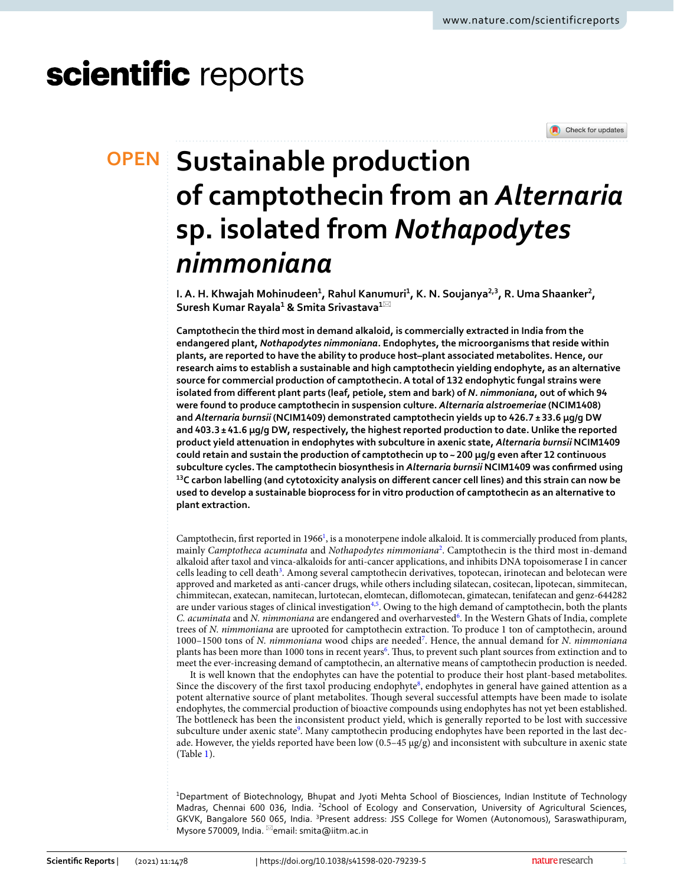# scientific reports



## **SUSTAINABLE production of camptothecin from an** *Alternaria* **sp. isolated from** *Nothapodytes nimmoniana*

**I. A. H. Khwajah Mohinudeen** $^1$ **, Rahul Kanumuri** $^1$ **, K. N. Soujanya** $^{2,3}$ **, R. Uma Shaanker** $^2$ **, Suresh Kumar Rayala<sup>1</sup> & Smita Srivastava<sup>1</sup>**\*

**Camptothecin the third most in demand alkaloid, is commercially extracted in India from the endangered plant,** *Nothapodytes nimmoniana***. Endophytes, the microorganisms that reside within plants, are reported to have the ability to produce host–plant associated metabolites. Hence, our research aims to establish a sustainable and high camptothecin yielding endophyte, as an alternative source for commercial production of camptothecin. A total of 132 endophytic fungal strains were isolated from different plant parts (leaf, petiole, stem and bark) of** *N. nimmoniana***, out of which 94 were found to produce camptothecin in suspension culture.** *Alternaria alstroemeriae* **(NCIM1408) and** *Alternaria burnsii* **(NCIM1409) demonstrated camptothecin yields up to 426.7 ± 33.6 µg/g DW and 403.3 ± 41.6 µg/g DW, respectively, the highest reported production to date. Unlike the reported product yield attenuation in endophytes with subculture in axenic state,** *Alternaria burnsii* **NCIM1409 could retain and sustain the production of camptothecin up to ~ 200 μg/g even after 12 continuous subculture cycles. The camptothecin biosynthesis in** *Alternaria burnsii* **NCIM1409 was confirmed using <sup>13</sup>C carbon labelling (and cytotoxicity analysis on different cancer cell lines) and this strain can now be used to develop a sustainable bioprocess for in vitro production of camptothecin as an alternative to plant extraction.**

Camptothecin, first reported in  $1966<sup>1</sup>$  $1966<sup>1</sup>$ , is a monoterpene indole alkaloid. It is commercially produced from plants, mainly *Camptotheca acuminata* and *Nothapodytes nimmoniana*[2](#page-9-1) . Camptothecin is the third most in-demand alkaloid after taxol and vinca-alkaloids for anti-cancer applications, and inhibits DNA topoisomerase I in cancer cells leading to cell death<sup>[3](#page-9-2)</sup>. Among several camptothecin derivatives, topotecan, irinotecan and belotecan were approved and marketed as anti-cancer drugs, while others including silatecan, cositecan, lipotecan, simmitecan, chimmitecan, exatecan, namitecan, lurtotecan, elomtecan, diflomotecan, gimatecan, tenifatecan and genz-644282 are under various stages of clinical investigation<sup>[4,](#page-9-3)[5](#page-9-4)</sup>. Owing to the high demand of camptothecin, both the plants C. acuminata and *N. nimmoniana* are endangered and overharvested<sup>[6](#page-9-5)</sup>. In the Western Ghats of India, complete trees of *N. nimmoniana* are uprooted for camptothecin extraction. To produce 1 ton of camptothecin, around 1000–1500 tons of *N. nimmoniana* wood chips are needed[7](#page-9-6) . Hence, the annual demand for *N. nimmoniana* plants has been more than 1000 tons in recent years<sup>[6](#page-9-5)</sup>. Thus, to prevent such plant sources from extinction and to meet the ever-increasing demand of camptothecin, an alternative means of camptothecin production is needed.

It is well known that the endophytes can have the potential to produce their host plant-based metabolites. Since the discovery of the first taxol producing endophyte<sup>[8](#page-9-7)</sup>, endophytes in general have gained attention as a potent alternative source of plant metabolites. Though several successful attempts have been made to isolate endophytes, the commercial production of bioactive compounds using endophytes has not yet been established. The bottleneck has been the inconsistent product yield, which is generally reported to be lost with successive subculture under axenic state<sup>[9](#page-9-8)</sup>. Many camptothecin producing endophytes have been reported in the last decade. However, the yields reported have been low  $(0.5-45 \mu g/g)$  and inconsistent with subculture in axenic state (Table [1\)](#page-1-0).

<sup>1</sup>Department of Biotechnology, Bhupat and Jyoti Mehta School of Biosciences, Indian Institute of Technology Madras, Chennai 600 036, India. <sup>2</sup>School of Ecology and Conservation, University of Agricultural Sciences, GKVK, Bangalore 560 065, India. <sup>3</sup>Present address: JSS College for Women (Autonomous), Saraswathipuram, Mysore 570009, India. <sup>⊠</sup>email: smita@iitm.ac.in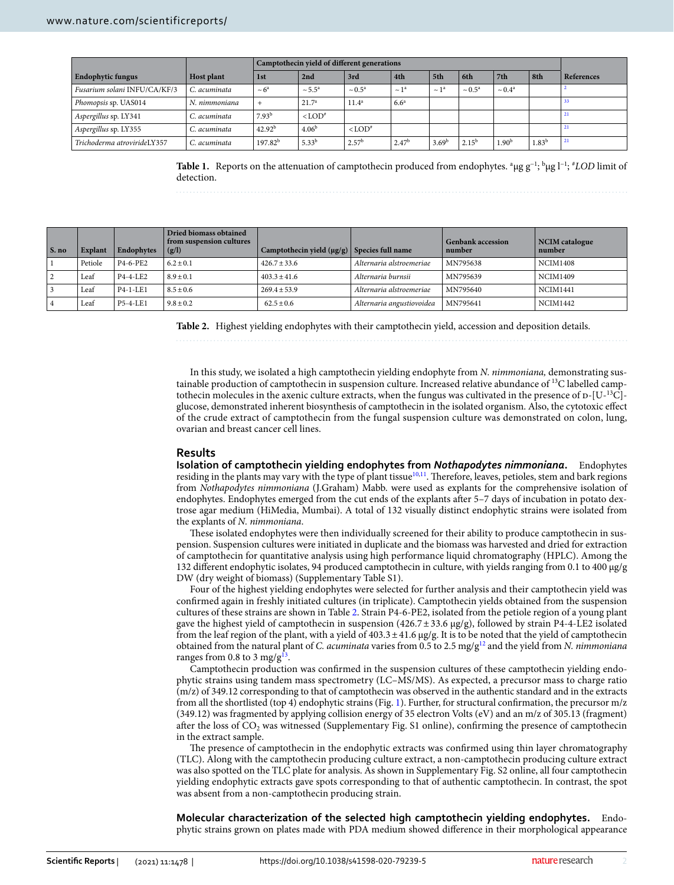|                              |                   | Camptothecin yield of different generations |                      |                            |                       |                   |                    |                    |                   |            |
|------------------------------|-------------------|---------------------------------------------|----------------------|----------------------------|-----------------------|-------------------|--------------------|--------------------|-------------------|------------|
| <b>Endophytic fungus</b>     | <b>Host plant</b> | 1st                                         | 2nd                  | 3rd                        | 4th                   | 5th               | 6th                | 7th                | 8th               | References |
| Fusarium solani INFU/CA/KF/3 | C. acuminata      | $\sim 6^a$                                  | $\sim 5.5^{\circ}$   | $\sim 0.5^{\rm a}$         | $\sim$ 1 <sup>a</sup> | $\sim 1^a$        | $\sim 0.5^{\rm a}$ | $\sim 0.4^{\rm a}$ |                   |            |
| Phomopsis sp. UAS014         | N. nimmoniana     |                                             | 21.7 <sup>a</sup>    | $11.4^a$                   | 6.6 <sup>a</sup>      |                   |                    |                    |                   | 33         |
| Aspergillus sp. LY341        | C. acuminata      | 7.93 <sup>b</sup>                           | $<$ LOD <sup>#</sup> |                            |                       |                   |                    |                    |                   | 21         |
| Aspergillus sp. LY355        | C. acuminata      | 42.92 <sup>b</sup>                          | 4.06 <sup>b</sup>    | $\langle$ LOD <sup>#</sup> |                       |                   |                    |                    |                   | 21         |
| Trichoderma atrovirideLY357  | C. acuminata      | 197.82 <sup>b</sup>                         | $5.33^{b}$           | 2.57 <sup>b</sup>          | 2.47 <sup>b</sup>     | 3.69 <sup>b</sup> | 2.15 <sup>b</sup>  | 1.90 <sup>b</sup>  | 1.83 <sup>b</sup> | 21         |

<span id="page-1-0"></span>**Table 1.** Reports on the attenuation of camptothecin produced from endophytes. <sup>a</sup> μg g−1; <sup>b</sup>μg l−1; #*LOD* limit of detection.

| $\vert$ S. no | <b>Explant</b> | Endophytes | Dried biomass obtained<br>from suspension cultures<br>(g/l) | Camptothecin yield $(\mu g/g)$ Species full name |                           | <b>Genbank accession</b><br>number | NCIM catalogue<br>number |
|---------------|----------------|------------|-------------------------------------------------------------|--------------------------------------------------|---------------------------|------------------------------------|--------------------------|
|               | Petiole        | P4-6-PE2   | $6.2 \pm 0.1$                                               | $426.7 \pm 33.6$                                 | Alternaria alstroemeriae  | MN795638                           | <b>NCIM1408</b>          |
|               | Leaf           | P4-4-LE2   | $8.9 \pm 0.1$                                               | $403.3 \pm 41.6$                                 | Alternaria burnsii        | MN795639                           | <b>NCIM1409</b>          |
|               | Leaf           | $P4-1-LE1$ | $8.5 \pm 0.6$                                               | $269.4 \pm 53.9$                                 | Alternaria alstroemeriae  | MN795640                           | <b>NCIM1441</b>          |
|               | Leaf           | P5-4-LE1   | $9.8 \pm 0.2$                                               | $62.5 \pm 0.6$                                   | Alternaria angustiovoidea | MN795641                           | <b>NCIM1442</b>          |

<span id="page-1-1"></span>**Table 2.** Highest yielding endophytes with their camptothecin yield, accession and deposition details.

In this study, we isolated a high camptothecin yielding endophyte from *N. nimmoniana,* demonstrating sustainable production of camptothecin in suspension culture. Increased relative abundance of 13C labelled camptothecin molecules in the axenic culture extracts, when the fungus was cultivated in the presence of  $D-[U^{-13}C]$ glucose, demonstrated inherent biosynthesis of camptothecin in the isolated organism. Also, the cytotoxic effect of the crude extract of camptothecin from the fungal suspension culture was demonstrated on colon, lung, ovarian and breast cancer cell lines.

#### **Results**

**Isolation of camptothecin yielding endophytes from** *Nothapodytes nimmoniana***.** Endophytes residing in the plants may vary with the type of plant tissue<sup>[10](#page-9-9)[,11](#page-9-10)</sup>. Therefore, leaves, petioles, stem and bark regions from *Nothapodytes nimmoniana* (J.Graham) Mabb. were used as explants for the comprehensive isolation of endophytes. Endophytes emerged from the cut ends of the explants after 5–7 days of incubation in potato dextrose agar medium (HiMedia, Mumbai). A total of 132 visually distinct endophytic strains were isolated from the explants of *N. nimmoniana*.

These isolated endophytes were then individually screened for their ability to produce camptothecin in suspension. Suspension cultures were initiated in duplicate and the biomass was harvested and dried for extraction of camptothecin for quantitative analysis using high performance liquid chromatography (HPLC). Among the 132 different endophytic isolates, 94 produced camptothecin in culture, with yields ranging from 0.1 to 400 µg/g DW (dry weight of biomass) (Supplementary Table S1).

Four of the highest yielding endophytes were selected for further analysis and their camptothecin yield was confirmed again in freshly initiated cultures (in triplicate). Camptothecin yields obtained from the suspension cultures of these strains are shown in Table [2.](#page-1-1) Strain P4-6-PE2, isolated from the petiole region of a young plant gave the highest yield of camptothecin in suspension (426.7 ± 33.6 µg/g), followed by strain P4-4-LE2 isolated from the leaf region of the plant, with a yield of 403.3 ± 41.6 µg/g. It is to be noted that the yield of camptothecin obtained from the natural plant of *C. acuminata* varies from 0.5 to 2.5 mg/g[12](#page-9-11) and the yield from *N. nimmoniana* ranges from 0.8 to 3 mg/g<sup>[13](#page-9-12)</sup>.

Camptothecin production was confirmed in the suspension cultures of these camptothecin yielding endophytic strains using tandem mass spectrometry (LC–MS/MS). As expected, a precursor mass to charge ratio (m/z) of 349.12 corresponding to that of camptothecin was observed in the authentic standard and in the extracts from all the shortlisted (top 4) endophytic strains (Fig. [1\)](#page-2-0). Further, for structural confirmation, the precursor m/z (349.12) was fragmented by applying collision energy of 35 electron Volts (eV) and an m/z of 305.13 (fragment) after the loss of  $CO_2$  was witnessed (Supplementary Fig. S1 online), confirming the presence of camptothecin in the extract sample.

The presence of camptothecin in the endophytic extracts was confirmed using thin layer chromatography (TLC). Along with the camptothecin producing culture extract, a non-camptothecin producing culture extract was also spotted on the TLC plate for analysis. As shown in Supplementary Fig. S2 online, all four camptothecin yielding endophytic extracts gave spots corresponding to that of authentic camptothecin. In contrast, the spot was absent from a non-camptothecin producing strain.

**Molecular characterization of the selected high camptothecin yielding endophytes.** Endophytic strains grown on plates made with PDA medium showed difference in their morphological appearance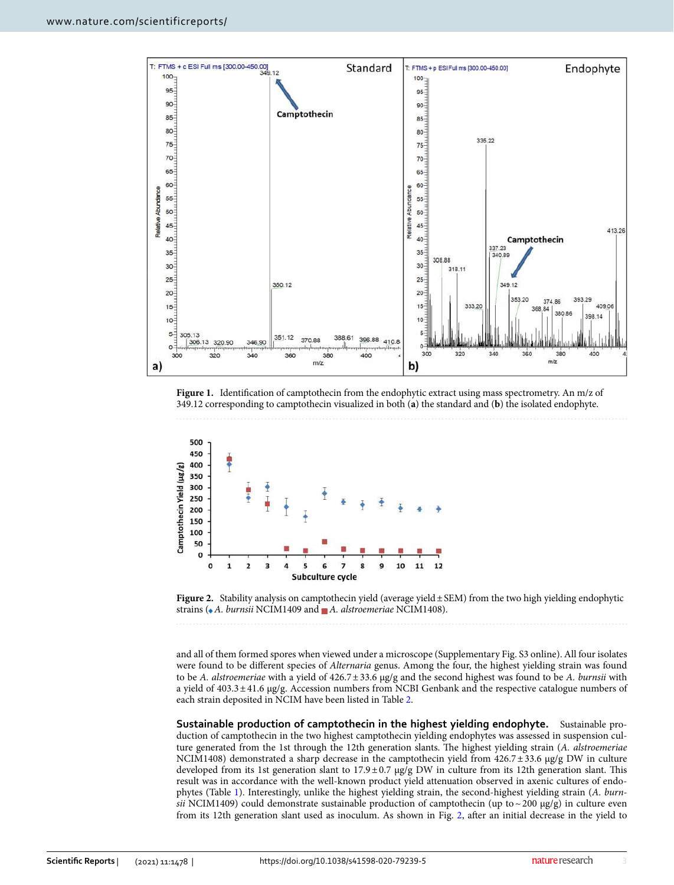

<span id="page-2-0"></span>Figure 1. Identification of camptothecin from the endophytic extract using mass spectrometry. An m/z of 349.12 corresponding to camptothecin visualized in both (**a**) the standard and (**b**) the isolated endophyte.



<span id="page-2-1"></span>

and all of them formed spores when viewed under a microscope (Supplementary Fig. S3 online). All four isolates were found to be different species of *Alternaria* genus. Among the four, the highest yielding strain was found to be *A. alstroemeriae* with a yield of 426.7 ± 33.6 µg/g and the second highest was found to be *A. burnsii* with a yield of 403.3 ± 41.6 µg/g. Accession numbers from NCBI Genbank and the respective catalogue numbers of each strain deposited in NCIM have been listed in Table [2](#page-1-1).

**Sustainable production of camptothecin in the highest yielding endophyte.** Sustainable production of camptothecin in the two highest camptothecin yielding endophytes was assessed in suspension culture generated from the 1st through the 12th generation slants. The highest yielding strain (*A. alstroemeriae* NCIM1408) demonstrated a sharp decrease in the camptothecin yield from  $426.7 \pm 33.6$  µg/g DW in culture developed from its 1st generation slant to  $17.9 \pm 0.7$  µg/g DW in culture from its 12th generation slant. This result was in accordance with the well-known product yield attenuation observed in axenic cultures of endophytes (Table [1](#page-1-0)). Interestingly, unlike the highest yielding strain, the second-highest yielding strain (*A. burnsii* NCIM1409) could demonstrate sustainable production of camptothecin (up to  $\sim$  200  $\mu$ g/g) in culture even from its 12th generation slant used as inoculum. As shown in Fig. [2](#page-2-1), after an initial decrease in the yield to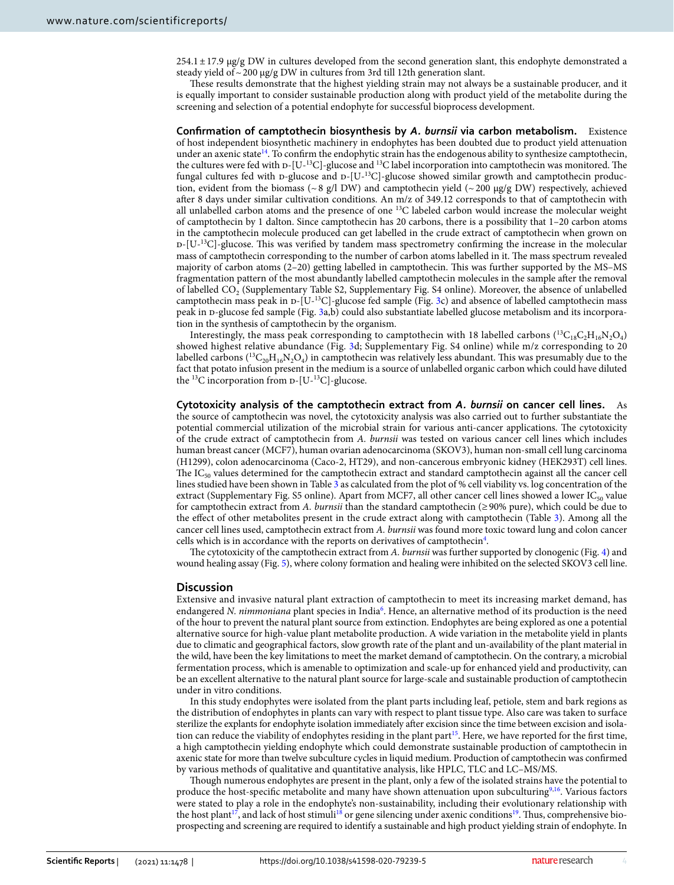$254.1 \pm 17.9$  µg/g DW in cultures developed from the second generation slant, this endophyte demonstrated a steady yield of  $\sim$  200 µg/g DW in cultures from 3rd till 12th generation slant.

These results demonstrate that the highest yielding strain may not always be a sustainable producer, and it is equally important to consider sustainable production along with product yield of the metabolite during the screening and selection of a potential endophyte for successful bioprocess development.

**Confirmation of camptothecin biosynthesis by** *A. burnsii* **via carbon metabolism.** Existence of host independent biosynthetic machinery in endophytes has been doubted due to product yield attenuation under an axenic state<sup>[14](#page-9-15)</sup>. To confirm the endophytic strain has the endogenous ability to synthesize camptothecin, the cultures were fed with  $D-[U^{-13}C]$ -glucose and <sup>13</sup>C label incorporation into camptothecin was monitored. The fungal cultures fed with p-glucose and p- $[U^{-13}C]$ -glucose showed similar growth and camptothecin production, evident from the biomass ( $\sim 8$  g/l DW) and camptothecin yield ( $\sim 200 \mu$ g/g DW) respectively, achieved after 8 days under similar cultivation conditions. An m/z of 349.12 corresponds to that of camptothecin with all unlabelled carbon atoms and the presence of one <sup>13</sup>C labeled carbon would increase the molecular weight of camptothecin by 1 dalton. Since camptothecin has 20 carbons, there is a possibility that 1–20 carbon atoms in the camptothecin molecule produced can get labelled in the crude extract of camptothecin when grown on  $D-[U<sup>13</sup>C]$ -glucose. This was verified by tandem mass spectrometry confirming the increase in the molecular mass of camptothecin corresponding to the number of carbon atoms labelled in it. The mass spectrum revealed majority of carbon atoms (2–20) getting labelled in camptothecin. This was further supported by the MS–MS fragmentation pattern of the most abundantly labelled camptothecin molecules in the sample after the removal of labelled CO<sup>2</sup> (Supplementary Table S2, Supplementary Fig. S4 online). Moreover, the absence of unlabelled camptothecin mass peak in  $D-[U^{-13}C]$ -glucose fed sample (Fig. [3c](#page-4-0)) and absence of labelled camptothecin mass peak in d-glucose fed sample (Fig. [3](#page-4-0)a,b) could also substantiate labelled glucose metabolism and its incorporation in the synthesis of camptothecin by the organism.

Interestingly, the mass peak corresponding to camptothecin with 18 labelled carbons  $(^{13}C_{18}C_{2}H_{16}N_{2}O_{4})$ showed highest relative abundance (Fig. [3d](#page-4-0); Supplementary Fig. S4 online) while m/z corresponding to 20 labelled carbons ( ${}^{13}C_{20}H_{16}N_2O_4$ ) in camptothecin was relatively less abundant. This was presumably due to the fact that potato infusion present in the medium is a source of unlabelled organic carbon which could have diluted the  $^{13}$ C incorporation from  $D-[U^{-13}C]$ -glucose.

**Cytotoxicity analysis of the camptothecin extract from** *A. burnsii* **on cancer cell lines.** As the source of camptothecin was novel, the cytotoxicity analysis was also carried out to further substantiate the potential commercial utilization of the microbial strain for various anti-cancer applications. The cytotoxicity of the crude extract of camptothecin from *A. burnsii* was tested on various cancer cell lines which includes human breast cancer (MCF7), human ovarian adenocarcinoma (SKOV3), human non-small cell lung carcinoma (H1299), colon adenocarcinoma (Caco-2, HT29), and non-cancerous embryonic kidney (HEK293T) cell lines. The  $IC_{50}$  values determined for the camptothecin extract and standard camptothecin against all the cancer cell lines studied have been shown in Table [3](#page-4-1) as calculated from the plot of % cell viability vs. log concentration of the extract (Supplementary Fig. S5 online). Apart from MCF7, all other cancer cell lines showed a lower  $IC_{50}$  value for camptothecin extract from *A. burnsii* than the standard camptothecin (≥ 90% pure), which could be due to the effect of other metabolites present in the crude extract along with camptothecin (Table [3\)](#page-4-1). Among all the cancer cell lines used, camptothecin extract from *A. burnsii* was found more toxic toward lung and colon cancer cells which is in accordance with the reports on derivatives of camptothecin<sup>[4](#page-9-3)</sup>.

The cytotoxicity of the camptothecin extract from *A. burnsii* was further supported by clonogenic (Fig. [4\)](#page-5-0) and wound healing assay (Fig. [5\)](#page-5-1), where colony formation and healing were inhibited on the selected SKOV3 cell line.

#### **Discussion**

Extensive and invasive natural plant extraction of camptothecin to meet its increasing market demand, has endangered *N. nimmoniana* plant species in India<sup>[6](#page-9-5)</sup>. Hence, an alternative method of its production is the need of the hour to prevent the natural plant source from extinction. Endophytes are being explored as one a potential alternative source for high-value plant metabolite production. A wide variation in the metabolite yield in plants due to climatic and geographical factors, slow growth rate of the plant and un-availability of the plant material in the wild, have been the key limitations to meet the market demand of camptothecin. On the contrary, a microbial fermentation process, which is amenable to optimization and scale-up for enhanced yield and productivity, can be an excellent alternative to the natural plant source for large-scale and sustainable production of camptothecin under in vitro conditions.

In this study endophytes were isolated from the plant parts including leaf, petiole, stem and bark regions as the distribution of endophytes in plants can vary with respect to plant tissue type. Also care was taken to surface sterilize the explants for endophyte isolation immediately after excision since the time between excision and isola-tion can reduce the viability of endophytes residing in the plant part<sup>[15](#page-9-16)</sup>. Here, we have reported for the first time, a high camptothecin yielding endophyte which could demonstrate sustainable production of camptothecin in axenic state for more than twelve subculture cycles in liquid medium. Production of camptothecin was confirmed by various methods of qualitative and quantitative analysis, like HPLC, TLC and LC–MS/MS.

Though numerous endophytes are present in the plant, only a few of the isolated strains have the potential to produce the host-specific metabolite and many have shown attenuation upon subculturing<sup>[9](#page-9-8)[,16](#page-9-17)</sup>. Various factors were stated to play a role in the endophyte's non-sustainability, including their evolutionary relationship with the host plant<sup>[17](#page-9-18)</sup>, and lack of host stimuli<sup>[18](#page-9-19)</sup> or gene silencing under axenic conditions<sup>[19](#page-9-20)</sup>. Thus, comprehensive bioprospecting and screening are required to identify a sustainable and high product yielding strain of endophyte. In

4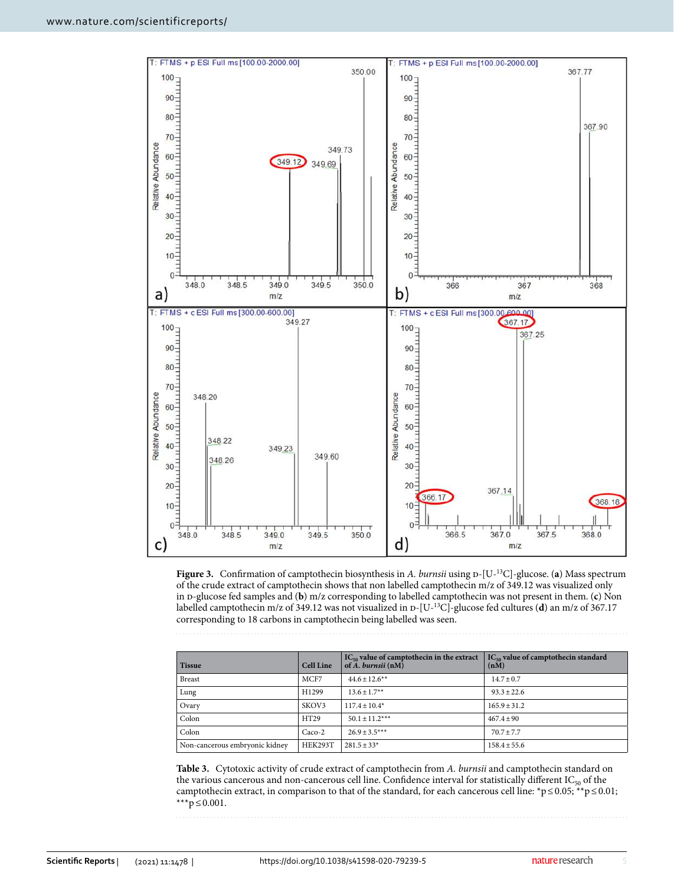

<span id="page-4-0"></span>**Figure 3.** Confirmation of camptothecin biosynthesis in *A. burnsii* using  $p-[U^{-13}C]$ -glucose. (**a**) Mass spectrum of the crude extract of camptothecin shows that non labelled camptothecin m/z of 349.12 was visualized only in d-glucose fed samples and (**b**) m/z corresponding to labelled camptothecin was not present in them. (**c**) Non labelled camptothecin m/z of 349.12 was not visualized in D-[U-<sup>13</sup>C]-glucose fed cultures (**d**) an m/z of 367.17 corresponding to 18 carbons in camptothecin being labelled was seen.

| <b>Tissue</b>                  | <b>Cell Line</b> | $IC_{50}$ value of camptothecin in the extract<br>of $A.$ burnsii $(nM)$ | $IC_{50}$ value of camptothecin standard<br>(nM) |
|--------------------------------|------------------|--------------------------------------------------------------------------|--------------------------------------------------|
| <b>Breast</b>                  | MCF7             | $44.6 + 12.6$ **                                                         | $14.7 \pm 0.7$                                   |
| Lung                           | H1299            | $13.6 \pm 1.7**$                                                         | $93.3 \pm 22.6$                                  |
| Ovary                          | SKOV3            | $117.4 \pm 10.4*$                                                        | $165.9 \pm 31.2$                                 |
| Colon                          | HT29             | $50.1 \pm 11.2***$                                                       | $467.4 + 90$                                     |
| Colon                          | $Caco-2$         | $26.9 + 3.5***$                                                          | $70.7 \pm 7.7$                                   |
| Non-cancerous embryonic kidney | HEK293T          | $281.5 \pm 33*$                                                          | $158.4 \pm 55.6$                                 |

<span id="page-4-1"></span>**Table 3.** Cytotoxic activity of crude extract of camptothecin from *A. burnsii* and camptothecin standard on the various cancerous and non-cancerous cell line. Confidence interval for statistically different IC<sub>50</sub> of the camptothecin extract, in comparison to that of the standard, for each cancerous cell line: \*p ≤ 0.05; \*\*p ≤ 0.01; \*\*\* $p$  ≤ 0.001.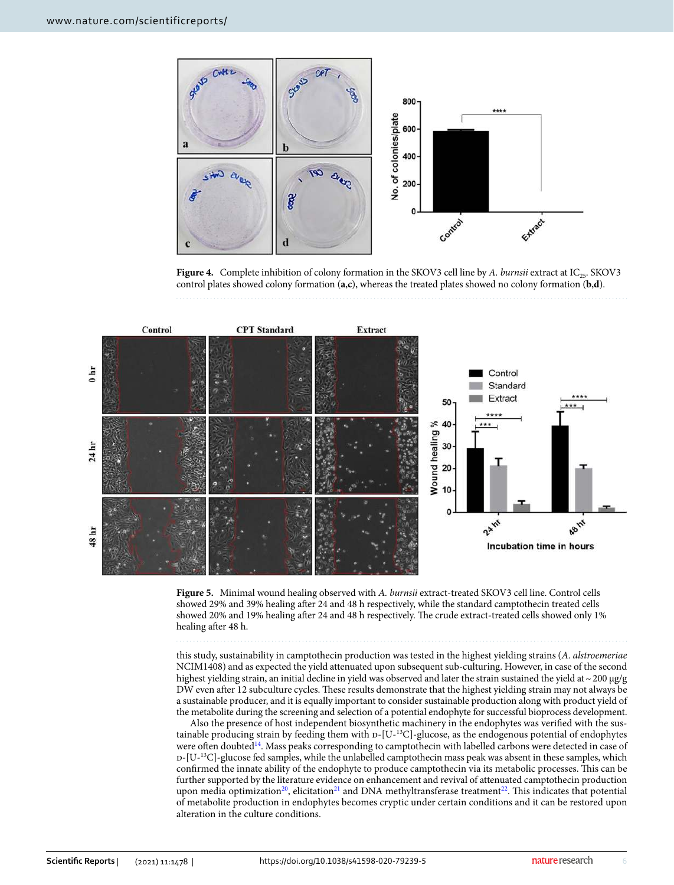

<span id="page-5-0"></span>**Figure 4.** Complete inhibition of colony formation in the SKOV3 cell line by *A. burnsii* extract at IC<sub>25</sub>. SKOV3 control plates showed colony formation (**a**,**c**), whereas the treated plates showed no colony formation (**b**,**d**).



<span id="page-5-1"></span>**Figure 5.** Minimal wound healing observed with *A. burnsii* extract-treated SKOV3 cell line. Control cells showed 29% and 39% healing after 24 and 48 h respectively, while the standard camptothecin treated cells showed 20% and 19% healing after 24 and 48 h respectively. The crude extract-treated cells showed only 1% healing after 48 h.

this study, sustainability in camptothecin production was tested in the highest yielding strains (*A. alstroemeriae* NCIM1408) and as expected the yield attenuated upon subsequent sub-culturing. However, in case of the second highest yielding strain, an initial decline in yield was observed and later the strain sustained the yield at  $\sim$  200  $\mu$ g/g DW even after 12 subculture cycles. These results demonstrate that the highest yielding strain may not always be a sustainable producer, and it is equally important to consider sustainable production along with product yield of the metabolite during the screening and selection of a potential endophyte for successful bioprocess development.

Also the presence of host independent biosynthetic machinery in the endophytes was verified with the sustainable producing strain by feeding them with  $D-[U^{-13}C]$ -glucose, as the endogenous potential of endophytes were often doubted<sup>[14](#page-9-15)</sup>. Mass peaks corresponding to camptothecin with labelled carbons were detected in case of  $D-[U^{-13}C]$ -glucose fed samples, while the unlabelled camptothecin mass peak was absent in these samples, which confirmed the innate ability of the endophyte to produce camptothecin via its metabolic processes. This can be further supported by the literature evidence on enhancement and revival of attenuated camptothecin production upon media optimization<sup>[20](#page-9-21)</sup>, elicitation<sup>[21](#page-9-14)</sup> and DNA methyltransferase treatment<sup>[22](#page-9-22)</sup>. This indicates that potential of metabolite production in endophytes becomes cryptic under certain conditions and it can be restored upon alteration in the culture conditions.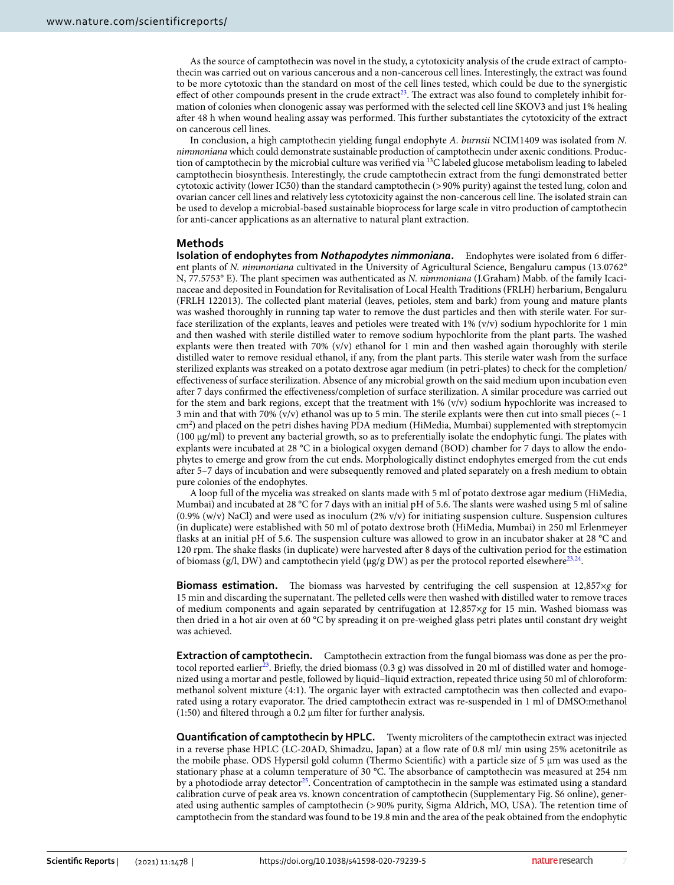As the source of camptothecin was novel in the study, a cytotoxicity analysis of the crude extract of camptothecin was carried out on various cancerous and a non-cancerous cell lines. Interestingly, the extract was found to be more cytotoxic than the standard on most of the cell lines tested, which could be due to the synergistic effect of other compounds present in the crude extract<sup>[23](#page-9-23)</sup>. The extract was also found to completely inhibit formation of colonies when clonogenic assay was performed with the selected cell line SKOV3 and just 1% healing after 48 h when wound healing assay was performed. This further substantiates the cytotoxicity of the extract on cancerous cell lines.

In conclusion, a high camptothecin yielding fungal endophyte *A. burnsii* NCIM1409 was isolated from *N. nimmoniana* which could demonstrate sustainable production of camptothecin under axenic conditions. Production of camptothecin by the microbial culture was verified via <sup>13</sup>C labeled glucose metabolism leading to labeled camptothecin biosynthesis. Interestingly, the crude camptothecin extract from the fungi demonstrated better cytotoxic activity (lower IC50) than the standard camptothecin (> 90% purity) against the tested lung, colon and ovarian cancer cell lines and relatively less cytotoxicity against the non-cancerous cell line. The isolated strain can be used to develop a microbial-based sustainable bioprocess for large scale in vitro production of camptothecin for anti-cancer applications as an alternative to natural plant extraction.

### **Methods**

**Isolation of endophytes from** *Nothapodytes nimmoniana***.** Endophytes were isolated from 6 different plants of *N. nimmoniana* cultivated in the University of Agricultural Science, Bengaluru campus (13.0762° N, 77.5753° E). The plant specimen was authenticated as *N. nimmoniana* (J.Graham) Mabb. of the family Icacinaceae and deposited in Foundation for Revitalisation of Local Health Traditions (FRLH) herbarium, Bengaluru (FRLH 122013). The collected plant material (leaves, petioles, stem and bark) from young and mature plants was washed thoroughly in running tap water to remove the dust particles and then with sterile water. For surface sterilization of the explants, leaves and petioles were treated with 1% (v/v) sodium hypochlorite for 1 min and then washed with sterile distilled water to remove sodium hypochlorite from the plant parts. The washed explants were then treated with 70% (v/v) ethanol for 1 min and then washed again thoroughly with sterile distilled water to remove residual ethanol, if any, from the plant parts. This sterile water wash from the surface sterilized explants was streaked on a potato dextrose agar medium (in petri-plates) to check for the completion/ effectiveness of surface sterilization. Absence of any microbial growth on the said medium upon incubation even after 7 days confirmed the effectiveness/completion of surface sterilization. A similar procedure was carried out for the stem and bark regions, except that the treatment with  $1\%$  (v/v) sodium hypochlorite was increased to 3 min and that with 70% (v/v) ethanol was up to 5 min. The sterile explants were then cut into small pieces ( $\sim$  1 cm<sup>2</sup> ) and placed on the petri dishes having PDA medium (HiMedia, Mumbai) supplemented with streptomycin (100 µg/ml) to prevent any bacterial growth, so as to preferentially isolate the endophytic fungi. The plates with explants were incubated at 28 °C in a biological oxygen demand (BOD) chamber for 7 days to allow the endophytes to emerge and grow from the cut ends. Morphologically distinct endophytes emerged from the cut ends after 5–7 days of incubation and were subsequently removed and plated separately on a fresh medium to obtain pure colonies of the endophytes.

A loop full of the mycelia was streaked on slants made with 5 ml of potato dextrose agar medium (HiMedia, Mumbai) and incubated at 28 °C for 7 days with an initial pH of 5.6. The slants were washed using 5 ml of saline  $(0.9\%$  (w/v) NaCl) and were used as inoculum  $(2\%$  v/v) for initiating suspension culture. Suspension cultures (in duplicate) were established with 50 ml of potato dextrose broth (HiMedia, Mumbai) in 250 ml Erlenmeyer flasks at an initial pH of 5.6. The suspension culture was allowed to grow in an incubator shaker at 28 °C and 120 rpm. The shake flasks (in duplicate) were harvested after 8 days of the cultivation period for the estimation of biomass (g/l, DW) and camptothecin yield (μg/g DW) as per the protocol reported elsewhere<sup>[23,](#page-9-23)[24](#page-9-24)</sup>.

**Biomass estimation.** The biomass was harvested by centrifuging the cell suspension at 12,857×*g* for 15 min and discarding the supernatant. The pelleted cells were then washed with distilled water to remove traces of medium components and again separated by centrifugation at 12,857×*g* for 15 min. Washed biomass was then dried in a hot air oven at 60 °C by spreading it on pre-weighed glass petri plates until constant dry weight was achieved.

**Extraction of camptothecin.** Camptothecin extraction from the fungal biomass was done as per the pro-tocol reported earlier<sup>[23](#page-9-23)</sup>. Briefly, the dried biomass  $(0.3 g)$  was dissolved in 20 ml of distilled water and homogenized using a mortar and pestle, followed by liquid–liquid extraction, repeated thrice using 50 ml of chloroform: methanol solvent mixture (4:1). The organic layer with extracted camptothecin was then collected and evaporated using a rotary evaporator. The dried camptothecin extract was re-suspended in 1 ml of DMSO:methanol (1:50) and filtered through a 0.2  $\mu$ m filter for further analysis.

**Quantification of camptothecin by HPLC.** Twenty microliters of the camptothecin extract was injected in a reverse phase HPLC (LC-20AD, Shimadzu, Japan) at a flow rate of 0.8 ml/ min using 25% acetonitrile as the mobile phase. ODS Hypersil gold column (Thermo Scientific) with a particle size of 5 µm was used as the stationary phase at a column temperature of 30 °C. The absorbance of camptothecin was measured at 254 nm by a photodiode array detector<sup>[25](#page-9-25)</sup>. Concentration of camptothecin in the sample was estimated using a standard calibration curve of peak area vs. known concentration of camptothecin (Supplementary Fig. S6 online), generated using authentic samples of camptothecin (> 90% purity, Sigma Aldrich, MO, USA). The retention time of camptothecin from the standard was found to be 19.8 min and the area of the peak obtained from the endophytic

7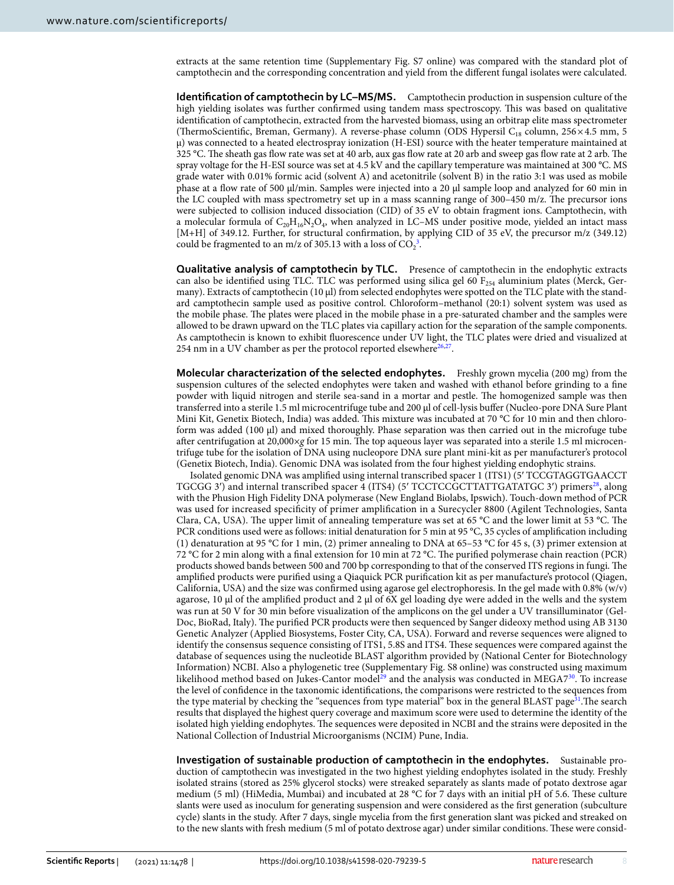extracts at the same retention time (Supplementary Fig. S7 online) was compared with the standard plot of camptothecin and the corresponding concentration and yield from the different fungal isolates were calculated.

**Identification of camptothecin by LC–MS/MS.** Camptothecin production in suspension culture of the high yielding isolates was further confirmed using tandem mass spectroscopy. This was based on qualitative identification of camptothecin, extracted from the harvested biomass, using an orbitrap elite mass spectrometer (ThermoScientific, Breman, Germany). A reverse-phase column (ODS Hypersil C<sub>18</sub> column, 256 × 4.5 mm, 5 µ) was connected to a heated electrospray ionization (H-ESI) source with the heater temperature maintained at 325 °C. The sheath gas flow rate was set at 40 arb, aux gas flow rate at 20 arb and sweep gas flow rate at 2 arb. The spray voltage for the H-ESI source was set at 4.5 kV and the capillary temperature was maintained at 300 °C. MS grade water with 0.01% formic acid (solvent A) and acetonitrile (solvent B) in the ratio 3:1 was used as mobile phase at a flow rate of 500 µl/min. Samples were injected into a 20 µl sample loop and analyzed for 60 min in the LC coupled with mass spectrometry set up in a mass scanning range of 300–450 m/z. The precursor ions were subjected to collision induced dissociation (CID) of 35 eV to obtain fragment ions. Camptothecin, with a molecular formula of  $C_{20}H_{16}N_2O_4$ , when analyzed in LC–MS under positive mode, yielded an intact mass [M+H] of 349.12. Further, for structural confirmation, by applying CID of 35 eV, the precursor m/z (349.12) could be fragmented to an m/z of [3](#page-9-2)05.13 with a loss of  $CO_2^3$ .

**Qualitative analysis of camptothecin by TLC.** Presence of camptothecin in the endophytic extracts can also be identified using TLC. TLC was performed using silica gel 60  $F_{254}$  aluminium plates (Merck, Germany). Extracts of camptothecin  $(10 \mu)$  from selected endophytes were spotted on the TLC plate with the standard camptothecin sample used as positive control. Chloroform–methanol (20:1) solvent system was used as the mobile phase. The plates were placed in the mobile phase in a pre-saturated chamber and the samples were allowed to be drawn upward on the TLC plates via capillary action for the separation of the sample components. As camptothecin is known to exhibit fluorescence under UV light, the TLC plates were dried and visualized at 254 nm in a UV chamber as per the protocol reported elsewhere $26,27$  $26,27$ .

**Molecular characterization of the selected endophytes.** Freshly grown mycelia (200 mg) from the suspension cultures of the selected endophytes were taken and washed with ethanol before grinding to a fine powder with liquid nitrogen and sterile sea-sand in a mortar and pestle. The homogenized sample was then transferred into a sterile 1.5 ml microcentrifuge tube and 200 µl of cell-lysis buffer (Nucleo-pore DNA Sure Plant Mini Kit, Genetix Biotech, India) was added. This mixture was incubated at 70 °C for 10 min and then chloroform was added (100 μl) and mixed thoroughly. Phase separation was then carried out in the microfuge tube after centrifugation at 20,000×*g* for 15 min. The top aqueous layer was separated into a sterile 1.5 ml microcentrifuge tube for the isolation of DNA using nucleopore DNA sure plant mini-kit as per manufacturer's protocol (Genetix Biotech, India). Genomic DNA was isolated from the four highest yielding endophytic strains.

Isolated genomic DNA was amplified using internal transcribed spacer 1 (ITS1) (5′ TCC GTA GGT GAA CCT TGCGG 3') and internal transcribed spacer 4 (ITS4) (5' TCCTCCGCTTATTGATATGC 3') primers<sup>[28](#page-9-28)</sup>, along with the Phusion High Fidelity DNA polymerase (New England Biolabs, Ipswich). Touch-down method of PCR was used for increased specificity of primer amplification in a Surecycler 8800 (Agilent Technologies, Santa Clara, CA, USA). The upper limit of annealing temperature was set at 65 °C and the lower limit at 53 °C. The PCR conditions used were as follows: initial denaturation for 5 min at 95 °C, 35 cycles of amplification including (1) denaturation at 95 °C for 1 min, (2) primer annealing to DNA at 65–53 °C for 45 s, (3) primer extension at 72 °C for 2 min along with a final extension for 10 min at 72 °C. The purified polymerase chain reaction (PCR) products showed bands between 500 and 700 bp corresponding to that of the conserved ITS regions in fungi. The amplified products were purified using a Qiaquick PCR purification kit as per manufacture's protocol (Qiagen, California, USA) and the size was confirmed using agarose gel electrophoresis. In the gel made with 0.8% (w/v) agarose, 10 µl of the amplified product and 2 µl of 6X gel loading dye were added in the wells and the system was run at 50 V for 30 min before visualization of the amplicons on the gel under a UV transilluminator (Gel-Doc, BioRad, Italy). The purified PCR products were then sequenced by Sanger dideoxy method using AB 3130 Genetic Analyzer (Applied Biosystems, Foster City, CA, USA). Forward and reverse sequences were aligned to identify the consensus sequence consisting of ITS1, 5.8S and ITS4. These sequences were compared against the database of sequences using the nucleotide BLAST algorithm provided by (National Center for Biotechnology Information) NCBI. Also a phylogenetic tree (Supplementary Fig. S8 online) was constructed using maximum likelihood method based on Jukes-Cantor model<sup>[29](#page-9-29)</sup> and the analysis was conducted in MEGA7<sup>[30](#page-9-30)</sup>. To increase the level of confidence in the taxonomic identifications, the comparisons were restricted to the sequences from the type material by checking the "sequences from type material" box in the general BLAST page<sup>[31](#page-9-31)</sup>. The search results that displayed the highest query coverage and maximum score were used to determine the identity of the isolated high yielding endophytes. The sequences were deposited in NCBI and the strains were deposited in the National Collection of Industrial Microorganisms (NCIM) Pune, India.

**Investigation of sustainable production of camptothecin in the endophytes.** Sustainable production of camptothecin was investigated in the two highest yielding endophytes isolated in the study. Freshly isolated strains (stored as 25% glycerol stocks) were streaked separately as slants made of potato dextrose agar medium (5 ml) (HiMedia, Mumbai) and incubated at 28 °C for 7 days with an initial pH of 5.6. These culture slants were used as inoculum for generating suspension and were considered as the first generation (subculture cycle) slants in the study. After 7 days, single mycelia from the first generation slant was picked and streaked on to the new slants with fresh medium (5 ml of potato dextrose agar) under similar conditions. These were consid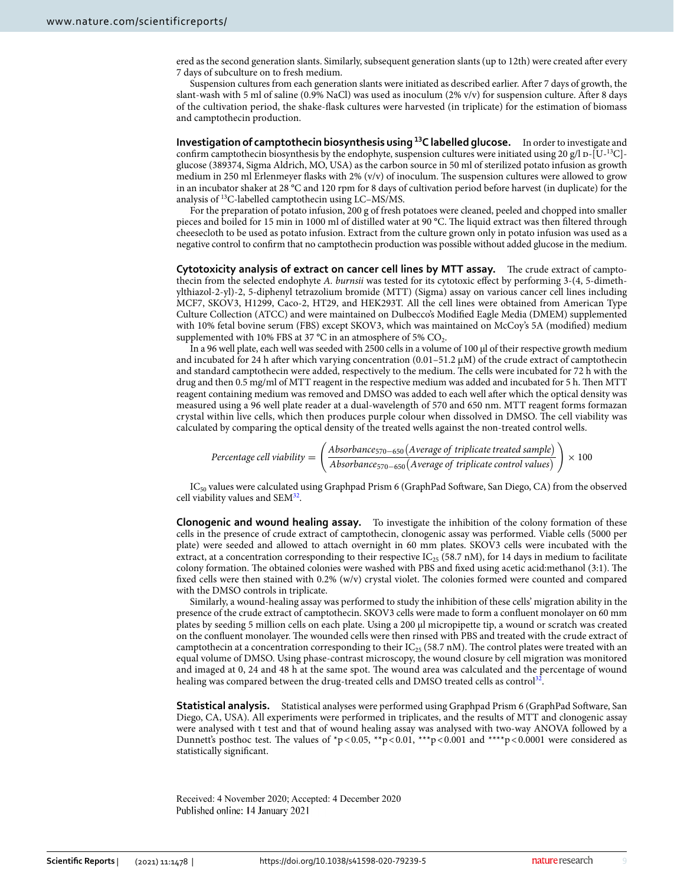ered as the second generation slants. Similarly, subsequent generation slants (up to 12th) were created after every 7 days of subculture on to fresh medium.

Suspension cultures from each generation slants were initiated as described earlier. After 7 days of growth, the slant-wash with 5 ml of saline (0.9% NaCl) was used as inoculum (2% v/v) for suspension culture. After 8 days of the cultivation period, the shake-flask cultures were harvested (in triplicate) for the estimation of biomass and camptothecin production.

**Investigation of camptothecin biosynthesis using <sup>13</sup>C labelled glucose.** In order to investigate and confirm camptothecin biosynthesis by the endophyte, suspension cultures were initiated using 20 g/l p-[U-<sup>13</sup>C]glucose (389374, Sigma Aldrich, MO, USA) as the carbon source in 50 ml of sterilized potato infusion as growth medium in 250 ml Erlenmeyer flasks with 2% (v/v) of inoculum. The suspension cultures were allowed to grow in an incubator shaker at 28 °C and 120 rpm for 8 days of cultivation period before harvest (in duplicate) for the analysis of <sup>13</sup>C-labelled camptothecin using LC–MS/MS.

For the preparation of potato infusion, 200 g of fresh potatoes were cleaned, peeled and chopped into smaller pieces and boiled for 15 min in 1000 ml of distilled water at 90 °C. The liquid extract was then filtered through cheesecloth to be used as potato infusion. Extract from the culture grown only in potato infusion was used as a negative control to confirm that no camptothecin production was possible without added glucose in the medium.

**Cytotoxicity analysis of extract on cancer cell lines by MTT assay.** The crude extract of camptothecin from the selected endophyte *A. burnsii* was tested for its cytotoxic effect by performing 3-(4, 5-dimethylthiazol-2-yl)-2, 5-diphenyl tetrazolium bromide (MTT) (Sigma) assay on various cancer cell lines including MCF7, SKOV3, H1299, Caco-2, HT29, and HEK293T. All the cell lines were obtained from American Type Culture Collection (ATCC) and were maintained on Dulbecco's Modified Eagle Media (DMEM) supplemented with 10% fetal bovine serum (FBS) except SKOV3, which was maintained on McCoy's 5A (modified) medium supplemented with 10% FBS at 37 °C in an atmosphere of 5%  $\mathrm{CO}_2$ .

In a 96 well plate, each well was seeded with 2500 cells in a volume of 100  $\mu$ l of their respective growth medium and incubated for 24 h after which varying concentration (0.01–51.2 µM) of the crude extract of camptothecin and standard camptothecin were added, respectively to the medium. The cells were incubated for 72 h with the drug and then 0.5 mg/ml of MTT reagent in the respective medium was added and incubated for 5 h. Then MTT reagent containing medium was removed and DMSO was added to each well after which the optical density was measured using a 96 well plate reader at a dual-wavelength of 570 and 650 nm. MTT reagent forms formazan crystal within live cells, which then produces purple colour when dissolved in DMSO. The cell viability was calculated by comparing the optical density of the treated wells against the non-treated control wells.

$$
Percentage cell viability = \left(\frac{Absorbance_{570-650}(Average\ of\ triplicate\ treated\ sample)}{Absorbance_{570-650}(Average\ of\ triplicate\ control\ values)}\right) \times 100
$$

IC<sub>50</sub> values were calculated using Graphpad Prism 6 (GraphPad Software, San Diego, CA) from the observed cell viability values and SEM<sup>[32](#page-9-32)</sup>.

**Clonogenic and wound healing assay.** To investigate the inhibition of the colony formation of these cells in the presence of crude extract of camptothecin, clonogenic assay was performed. Viable cells (5000 per plate) were seeded and allowed to attach overnight in 60 mm plates. SKOV3 cells were incubated with the extract, at a concentration corresponding to their respective IC<sub>25</sub> (58.7 nM), for 14 days in medium to facilitate colony formation. The obtained colonies were washed with PBS and fixed using acetic acid:methanol (3:1). The fixed cells were then stained with 0.2% (w/v) crystal violet. The colonies formed were counted and compared with the DMSO controls in triplicate.

Similarly, a wound-healing assay was performed to study the inhibition of these cells' migration ability in the presence of the crude extract of camptothecin. SKOV3 cells were made to form a confluent monolayer on 60 mm plates by seeding 5 million cells on each plate. Using a 200 µl micropipette tip, a wound or scratch was created on the confluent monolayer. The wounded cells were then rinsed with PBS and treated with the crude extract of camptothecin at a concentration corresponding to their  $IC_{25}$  (58.7 nM). The control plates were treated with an equal volume of DMSO. Using phase-contrast microscopy, the wound closure by cell migration was monitored and imaged at 0, 24 and 48 h at the same spot. The wound area was calculated and the percentage of wound healing was compared between the drug-treated cells and DMSO treated cells as control $^{32}$  $^{32}$  $^{32}$ .

**Statistical analysis.** Statistical analyses were performed using Graphpad Prism 6 (GraphPad Software, San Diego, CA, USA). All experiments were performed in triplicates, and the results of MTT and clonogenic assay were analysed with t test and that of wound healing assay was analysed with two-way ANOVA followed by a Dunnett's posthoc test. The values of  $\gamma$  = 0.05, \*\*p < 0.01, \*\*\*p < 0.001 and \*\*\*p < 0.0001 were considered as statistically significant.

Received: 4 November 2020; Accepted: 4 December 2020 Published online: 14 January 2021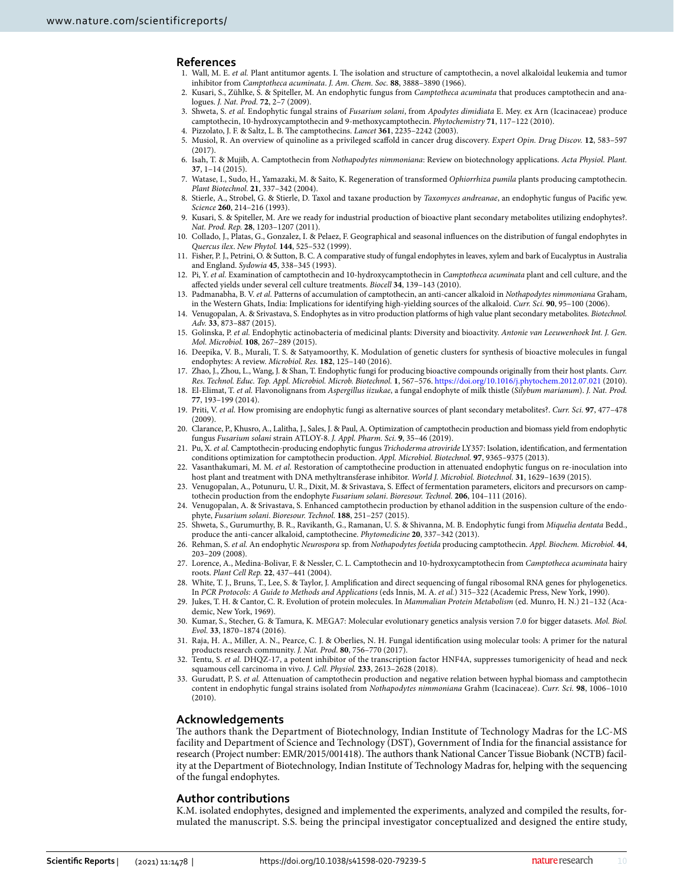#### **References**

- <span id="page-9-0"></span> 1. Wall, M. E. *et al.* Plant antitumor agents. I. The isolation and structure of camptothecin, a novel alkaloidal leukemia and tumor inhibitor from *Camptotheca acuminata*. *J. Am. Chem. Soc.* **88**, 3888–3890 (1966).
- <span id="page-9-1"></span> 2. Kusari, S., Zühlke, S. & Spiteller, M. An endophytic fungus from *Camptotheca acuminata* that produces camptothecin and analogues. *J. Nat. Prod.* **72**, 2–7 (2009).
- <span id="page-9-2"></span> 3. Shweta, S. *et al.* Endophytic fungal strains of *Fusarium solani*, from *Apodytes dimidiata* E. Mey. ex Arn (Icacinaceae) produce camptothecin, 10-hydroxycamptothecin and 9-methoxycamptothecin. *Phytochemistry* **71**, 117–122 (2010).
- <span id="page-9-3"></span>4. Pizzolato, J. F. & Saltz, L. B. The camptothecins. *Lancet* **361**, 2235–2242 (2003).
- <span id="page-9-4"></span> 5. Musiol, R. An overview of quinoline as a privileged scaffold in cancer drug discovery. *Expert Opin. Drug Discov.* **12**, 583–597  $(2017)$
- <span id="page-9-5"></span> 6. Isah, T. & Mujib, A. Camptothecin from *Nothapodytes nimmoniana*: Review on biotechnology applications. *Acta Physiol. Plant.* **37**, 1–14 (2015).
- <span id="page-9-6"></span> 7. Watase, I., Sudo, H., Yamazaki, M. & Saito, K. Regeneration of transformed *Ophiorrhiza pumila* plants producing camptothecin. *Plant Biotechnol.* **21**, 337–342 (2004).
- <span id="page-9-7"></span> 8. Stierle, A., Strobel, G. & Stierle, D. Taxol and taxane production by *Taxomyces andreanae*, an endophytic fungus of Pacific yew. *Science* **260**, 214–216 (1993).
- <span id="page-9-8"></span> 9. Kusari, S. & Spiteller, M. Are we ready for industrial production of bioactive plant secondary metabolites utilizing endophytes?. *Nat. Prod. Rep.* **28**, 1203–1207 (2011).
- <span id="page-9-9"></span> 10. Collado, J., Platas, G., Gonzalez, I. & Pelaez, F. Geographical and seasonal influences on the distribution of fungal endophytes in *Quercus ilex*. *New Phytol.* **144**, 525–532 (1999).
- <span id="page-9-10"></span> 11. Fisher, P. J., Petrini, O. & Sutton, B. C. A comparative study of fungal endophytes in leaves, xylem and bark of Eucalyptus in Australia and England. *Sydowia* **45**, 338–345 (1993).
- <span id="page-9-11"></span> 12. Pi, Y. *et al.* Examination of camptothecin and 10-hydroxycamptothecin in *Camptotheca acuminata* plant and cell culture, and the affected yields under several cell culture treatments. *Biocell* **34**, 139–143 (2010).
- <span id="page-9-12"></span> 13. Padmanabha, B. V. *et al.* Patterns of accumulation of camptothecin, an anti-cancer alkaloid in *Nothapodytes nimmoniana* Graham, in the Western Ghats, India: Implications for identifying high-yielding sources of the alkaloid. *Curr. Sci.* **90**, 95–100 (2006).
- <span id="page-9-15"></span> 14. Venugopalan, A. & Srivastava, S. Endophytes as in vitro production platforms of high value plant secondary metabolites. *Biotechnol. Adv.* **33**, 873–887 (2015).
- <span id="page-9-16"></span> 15. Golinska, P. *et al.* Endophytic actinobacteria of medicinal plants: Diversity and bioactivity. *Antonie van Leeuwenhoek Int. J. Gen. Mol. Microbiol.* **108**, 267–289 (2015).
- <span id="page-9-17"></span> 16. Deepika, V. B., Murali, T. S. & Satyamoorthy, K. Modulation of genetic clusters for synthesis of bioactive molecules in fungal endophytes: A review. *Microbiol. Res.* **182**, 125–140 (2016).
- <span id="page-9-18"></span> 17. Zhao, J., Zhou, L., Wang, J. & Shan, T. Endophytic fungi for producing bioactive compounds originally from their host plants. *Curr. Res. Technol. Educ. Top. Appl. Microbiol. Microb. Biotechnol.* **1**, 567–576. [https ://doi.org/10.1016/j.phyto chem.2012.07.021](https://doi.org/10.1016/j.phytochem.2012.07.021) (2010).
- <span id="page-9-19"></span> 18. El-Elimat, T. *et al.* Flavonolignans from *Aspergillus iizukae*, a fungal endophyte of milk thistle (*Silybum marianum*). *J. Nat. Prod.* **77**, 193–199 (2014).
- <span id="page-9-20"></span> 19. Priti, V. *et al.* How promising are endophytic fungi as alternative sources of plant secondary metabolites?. *Curr. Sci.* **97**, 477–478 (2009).
- <span id="page-9-21"></span> 20. Clarance, P., Khusro, A., Lalitha, J., Sales, J. & Paul, A. Optimization of camptothecin production and biomass yield from endophytic fungus *Fusarium solani* strain ATLOY-8. *J. Appl. Pharm. Sci.* **9**, 35–46 (2019).
- <span id="page-9-14"></span> 21. Pu, X. *et al.* Camptothecin-producing endophytic fungus *Trichoderma atroviride* LY357: Isolation, identification, and fermentation conditions optimization for camptothecin production. *Appl. Microbiol. Biotechnol.* **97**, 9365–9375 (2013).
- <span id="page-9-22"></span> 22. Vasanthakumari, M. M. *et al.* Restoration of camptothecine production in attenuated endophytic fungus on re-inoculation into host plant and treatment with DNA methyltransferase inhibitor. *World J. Microbiol. Biotechnol.* **31**, 1629–1639 (2015).
- <span id="page-9-23"></span> 23. Venugopalan, A., Potunuru, U. R., Dixit, M. & Srivastava, S. Effect of fermentation parameters, elicitors and precursors on camptothecin production from the endophyte *Fusarium solani*. *Bioresour. Technol.* **206**, 104–111 (2016).
- <span id="page-9-24"></span> 24. Venugopalan, A. & Srivastava, S. Enhanced camptothecin production by ethanol addition in the suspension culture of the endophyte, *Fusarium solani*. *Bioresour. Technol.* **188**, 251–257 (2015).
- <span id="page-9-25"></span> 25. Shweta, S., Gurumurthy, B. R., Ravikanth, G., Ramanan, U. S. & Shivanna, M. B. Endophytic fungi from *Miquelia dentata* Bedd., produce the anti-cancer alkaloid, camptothecine. *Phytomedicine* **20**, 337–342 (2013).
- <span id="page-9-26"></span> 26. Rehman, S. *et al.* An endophytic *Neurospora* sp. from *Nothapodytes foetida* producing camptothecin. *Appl. Biochem. Microbiol.* **44**, 203–209 (2008).
- <span id="page-9-27"></span> 27. Lorence, A., Medina-Bolivar, F. & Nessler, C. L. Camptothecin and 10-hydroxycamptothecin from *Camptotheca acuminata* hairy roots. *Plant Cell Rep.* **22**, 437–441 (2004).
- <span id="page-9-28"></span> 28. White, T. J., Bruns, T., Lee, S. & Taylor, J. Amplification and direct sequencing of fungal ribosomal RNA genes for phylogenetics. In *PCR Protocols: A Guide to Methods and Applications* (eds Innis, M. A. *et al.*) 315–322 (Academic Press, New York, 1990).
- <span id="page-9-29"></span> 29. Jukes, T. H. & Cantor, C. R. Evolution of protein molecules. In *Mammalian Protein Metabolism* (ed. Munro, H. N.) 21–132 (Academic, New York, 1969).
- <span id="page-9-30"></span> 30. Kumar, S., Stecher, G. & Tamura, K. MEGA7: Molecular evolutionary genetics analysis version 7.0 for bigger datasets. *Mol. Biol. Evol.* **33**, 1870–1874 (2016).
- <span id="page-9-31"></span> 31. Raja, H. A., Miller, A. N., Pearce, C. J. & Oberlies, N. H. Fungal identification using molecular tools: A primer for the natural products research community. *J. Nat. Prod.* **80**, 756–770 (2017).
- <span id="page-9-32"></span> 32. Tentu, S. *et al.* DHQZ-17, a potent inhibitor of the transcription factor HNF4A, suppresses tumorigenicity of head and neck squamous cell carcinoma in vivo. *J. Cell. Physiol.* **233**, 2613–2628 (2018).
- <span id="page-9-13"></span> 33. Gurudatt, P. S. *et al.* Attenuation of camptothecin production and negative relation between hyphal biomass and camptothecin content in endophytic fungal strains isolated from *Nothapodytes nimmoniana* Grahm (Icacinaceae). *Curr. Sci.* **98**, 1006–1010 (2010).

#### **Acknowledgements**

The authors thank the Department of Biotechnology, Indian Institute of Technology Madras for the LC-MS facility and Department of Science and Technology (DST), Government of India for the financial assistance for research (Project number: EMR/2015/001418). The authors thank National Cancer Tissue Biobank (NCTB) facility at the Department of Biotechnology, Indian Institute of Technology Madras for, helping with the sequencing of the fungal endophytes.

#### **Author contributions**

K.M. isolated endophytes, designed and implemented the experiments, analyzed and compiled the results, formulated the manuscript. S.S. being the principal investigator conceptualized and designed the entire study,